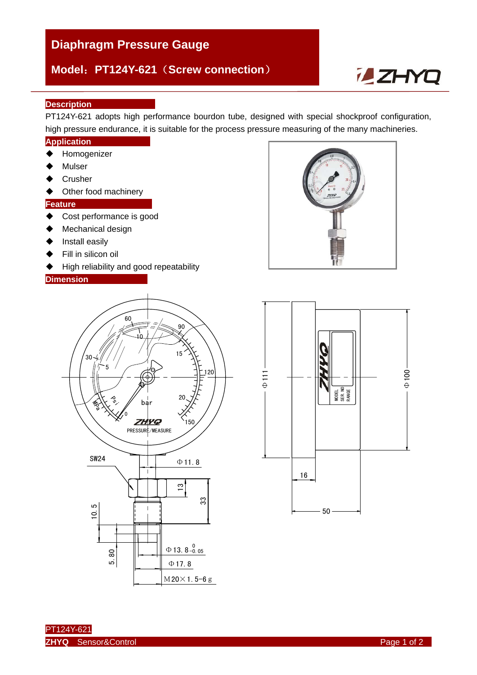# **Diaphragm Pressure Gauge**

## **Model**:**PT124Y-621**(**Screw connection**)

# **ZHYQ**

#### **Description**

PT124Y-621 adopts high performance bourdon tube, designed with special shockproof configuration, high pressure endurance, it is suitable for the process pressure measuring of the many machineries.

#### **Application**

- ◆ Homogenizer
- Mulser
- **←** Crusher
- ◆ Other food machinery

#### **Feature**

- ◆ Cost performance is good
- ◆ Mechanical design
- $\blacklozenge$  Install easily
- $\blacklozenge$  Fill in silicon oil
- ◆ High reliability and good repeatability

#### **Dimension**